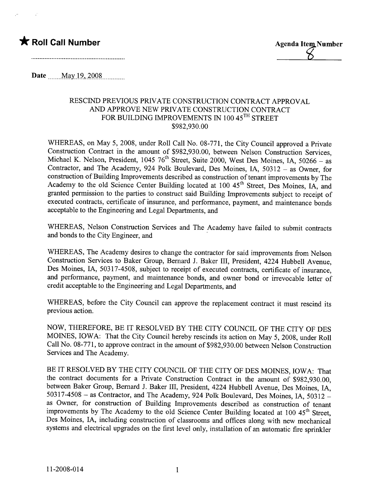## \* Roll Call Number Agenda Item Number

Date \_\_\_\_\_May 19, 2008

## RESCIND PREVIOUS PRIVATE CONSTRUCTION CONTRACT APPROVAL AND APPROVE NEW PRIVATE CONSTRUCTION CONTRACT FOR BUILDING IMPROVEMENTS IN 100 45<sup>TH</sup> STREET \$982,930.00

WHEREAS, on May 5, 2008, under Roll Call No. 08-771, the City Council approved a Private Construction Contract in the amount of \$982,930.00, between Nelson Construction Services, Michael K. Nelson, President, 1045 76<sup>th</sup> Street, Suite 2000, West Des Moines, IA, 50266 - as Contractor, and The Academy, 924 Polk Boulevard, Des Moines, lA, 50312 - as Owner, for construction of Building Improvements described as construction of tenant improvements by The Academy to the old Science Center Building located at 100 45<sup>th</sup> Street, Des Moines, IA, and granted permission to the parties to construct said Building Improvements subject to receipt of executed contracts, certificate of insurance, and performance, payment, and maintenance bonds acceptable to the Engineering and Legal Deparments, and

WHEREAS, Nelson Construction Services and The Academy have failed to submit contracts and bonds to the City Engineer, and

WHEREAS, The Academy desires to change the contractor for said improvements from Nelson Construction Services to Baker Group, Bernard J. Baker III, President, 4224 Hubbell Avenue, Des Moines, lA, 50317-4508, subject to receipt of executed contracts, certificate of insurance, and performance, payment, and maintenance bonds, and owner bond or irrevocable letter of credit acceptable to the Engineering and Legal Departments, and

WHEREAS, before the City Council can approve the replacement contract it must rescind its previous action.

NOW, THEREFORE, BE IT RESOLVED BY THE CITY COUNCIL OF THE CITY OF DES MOINS, IOWA: That the City Council hereby rescinds its action on May 5, 2008, under Roll Call No. 08-771, to approve contract in the amount of \$982,930.00 between Nelson Construction Services and The Academy.

BE IT RESOLVED BY THE CITY COUNCIL OF THE CITY OF DES MOINS, IOWA: That the contract documents for a Private Construction Contract in the amount of \$982,930.00, between Baker Group, Bernard J. Baker III, President, 4224 Hubbell Avenue, Des Moines, lA, 50317-4508 - as Contractor, and The Academy, 924 Polk Boulevard, Des Moines, lA, 50312 as Owner, for construction of Building Improvements described as construction of tenant improvements by The Academy to the old Science Center Building located at 100 45<sup>th</sup> Street, Des Moines, IA, including construction of classrooms and offices along with new mechanical systems and electrical upgrades on the first level only, installation of an automatic fire sprinkler